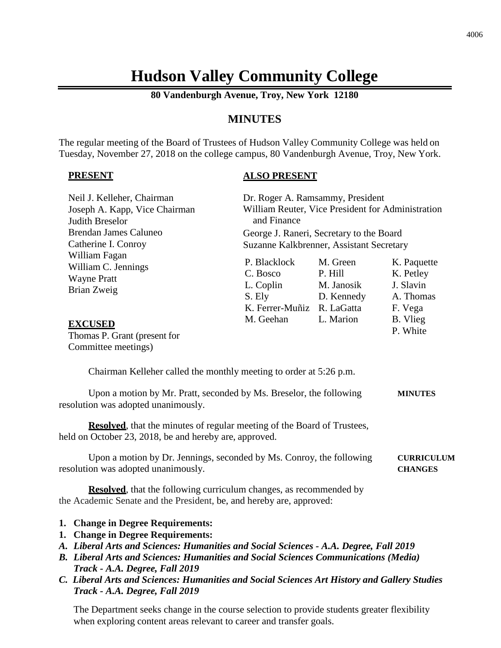# **Hudson Valley Community College**

**80 Vandenburgh Avenue, Troy, New York 12180**

# **MINUTES**

The regular meeting of the Board of Trustees of Hudson Valley Community College was held on Tuesday, November 27, 2018 on the college campus, 80 Vandenburgh Avenue, Troy, New York.

### **PRESENT**

### **ALSO PRESENT**

| Neil J. Kelleher, Chairman<br>Joseph A. Kapp, Vice Chairman<br><b>Judith Breselor</b>                                                                                                                                                                                                                                                                                                                                             | Dr. Roger A. Ramsammy, President<br>and Finance                                          | William Reuter, Vice President for Administration |                                                               |
|-----------------------------------------------------------------------------------------------------------------------------------------------------------------------------------------------------------------------------------------------------------------------------------------------------------------------------------------------------------------------------------------------------------------------------------|------------------------------------------------------------------------------------------|---------------------------------------------------|---------------------------------------------------------------|
| <b>Brendan James Caluneo</b><br>Catherine I. Conroy                                                                                                                                                                                                                                                                                                                                                                               | George J. Raneri, Secretary to the Board<br>Suzanne Kalkbrenner, Assistant Secretary     |                                                   |                                                               |
| William Fagan<br>William C. Jennings<br><b>Wayne Pratt</b><br><b>Brian Zweig</b>                                                                                                                                                                                                                                                                                                                                                  | P. Blacklock<br>C. Bosco<br>L. Coplin M. Janosik<br>S. Ely<br>K. Ferrer-Muñiz R. LaGatta | M. Green<br>P. Hill<br>D. Kennedy                 | K. Paquette<br>K. Petley<br>J. Slavin<br>A. Thomas<br>F. Vega |
| <b>EXCUSED</b><br>Thomas P. Grant (present for<br>Committee meetings)                                                                                                                                                                                                                                                                                                                                                             | M. Geehan L. Marion                                                                      |                                                   | B. Vlieg<br>P. White                                          |
| Chairman Kelleher called the monthly meeting to order at 5:26 p.m.                                                                                                                                                                                                                                                                                                                                                                |                                                                                          |                                                   |                                                               |
| Upon a motion by Mr. Pratt, seconded by Ms. Breselor, the following<br>resolution was adopted unanimously.                                                                                                                                                                                                                                                                                                                        |                                                                                          |                                                   | <b>MINUTES</b>                                                |
| <b>Resolved</b> , that the minutes of regular meeting of the Board of Trustees,<br>held on October 23, 2018, be and hereby are, approved.                                                                                                                                                                                                                                                                                         |                                                                                          |                                                   |                                                               |
| Upon a motion by Dr. Jennings, seconded by Ms. Conroy, the following<br>resolution was adopted unanimously.                                                                                                                                                                                                                                                                                                                       |                                                                                          |                                                   | <b>CURRICULUM</b><br><b>CHANGES</b>                           |
| <b>Resolved</b> , that the following curriculum changes, as recommended by<br>the Academic Senate and the President, be, and hereby are, approved:                                                                                                                                                                                                                                                                                |                                                                                          |                                                   |                                                               |
| 1. Change in Degree Requirements:<br>1. Change in Degree Requirements:<br>A. Liberal Arts and Sciences: Humanities and Social Sciences - A.A. Degree, Fall 2019<br><b>B.</b> Liberal Arts and Sciences: Humanities and Social Sciences Communications (Media)<br>Track - A.A. Degree, Fall 2019<br>C. Liberal Arts and Sciences: Humanities and Social Sciences Art History and Gallery Studies<br>Track - A.A. Degree, Fall 2019 |                                                                                          |                                                   |                                                               |

The Department seeks change in the course selection to provide students greater flexibility when exploring content areas relevant to career and transfer goals.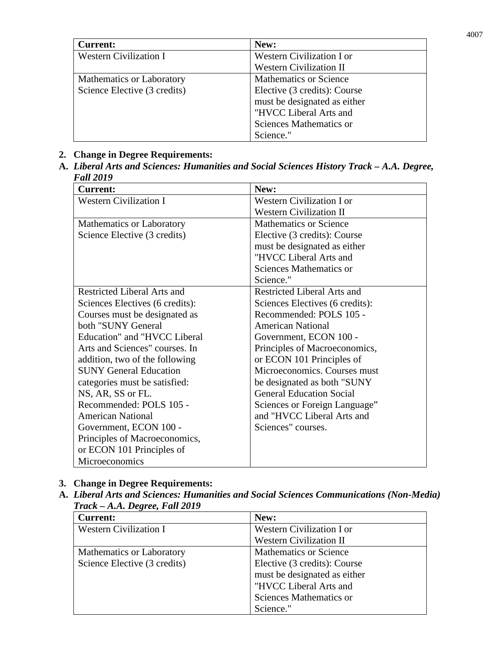| <b>Current:</b>               | New:                             |
|-------------------------------|----------------------------------|
| <b>Western Civilization I</b> | <b>Western Civilization I or</b> |
|                               | <b>Western Civilization II</b>   |
| Mathematics or Laboratory     | <b>Mathematics or Science</b>    |
| Science Elective (3 credits)  | Elective (3 credits): Course     |
|                               | must be designated as either     |
|                               | "HVCC Liberal Arts and           |
|                               | Sciences Mathematics or          |
|                               | Science."                        |

### **2. Change in Degree Requirements:**

**A.** *Liberal Arts and Sciences: Humanities and Social Sciences History Track – A.A. Degree, Fall 2019*

| <b>Current:</b>                 | New:                            |
|---------------------------------|---------------------------------|
| <b>Western Civilization I</b>   | Western Civilization I or       |
|                                 | <b>Western Civilization II</b>  |
| Mathematics or Laboratory       | <b>Mathematics or Science</b>   |
| Science Elective (3 credits)    | Elective (3 credits): Course    |
|                                 | must be designated as either    |
|                                 | "HVCC Liberal Arts and          |
|                                 | Sciences Mathematics or         |
|                                 | Science."                       |
| Restricted Liberal Arts and     | Restricted Liberal Arts and     |
| Sciences Electives (6 credits): | Sciences Electives (6 credits): |
| Courses must be designated as   | Recommended: POLS 105 -         |
| both "SUNY General              | <b>American National</b>        |
| Education" and "HVCC Liberal    | Government, ECON 100 -          |
| Arts and Sciences" courses. In  | Principles of Macroeconomics,   |
| addition, two of the following  | or ECON 101 Principles of       |
| <b>SUNY General Education</b>   | Microeconomics. Courses must    |
| categories must be satisfied:   | be designated as both "SUNY     |
| NS, AR, SS or FL.               | <b>General Education Social</b> |
| Recommended: POLS 105 -         | Sciences or Foreign Language"   |
| <b>American National</b>        | and "HVCC Liberal Arts and      |
| Government, ECON 100 -          | Sciences" courses.              |
| Principles of Macroeconomics,   |                                 |
| or ECON 101 Principles of       |                                 |
| Microeconomics                  |                                 |

# **3. Change in Degree Requirements:**

**A.** *Liberal Arts and Sciences: Humanities and Social Sciences Communications (Non-Media) Track – A.A. Degree, Fall 2019*

| <b>Current:</b>               | New:                             |
|-------------------------------|----------------------------------|
| <b>Western Civilization I</b> | <b>Western Civilization I or</b> |
|                               | <b>Western Civilization II</b>   |
| Mathematics or Laboratory     | <b>Mathematics or Science</b>    |
| Science Elective (3 credits)  | Elective (3 credits): Course     |
|                               | must be designated as either     |
|                               | "HVCC Liberal Arts and           |
|                               | Sciences Mathematics or          |
|                               | Science."                        |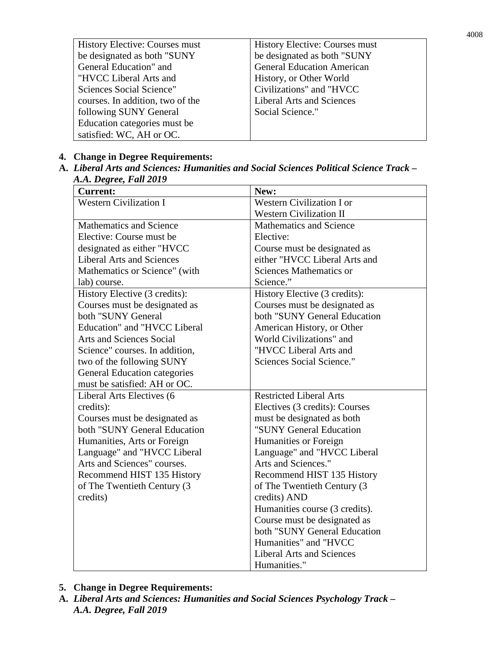| History Elective: Courses must   | <b>History Elective: Courses must</b> |
|----------------------------------|---------------------------------------|
| be designated as both "SUNY      | be designated as both "SUNY           |
| General Education" and           | <b>General Education American</b>     |
| "HVCC Liberal Arts and           | History, or Other World               |
| Sciences Social Science"         | Civilizations" and "HVCC              |
| courses. In addition, two of the | <b>Liberal Arts and Sciences</b>      |
| following SUNY General           | Social Science."                      |
| Education categories must be     |                                       |
| satisfied: WC, AH or OC.         |                                       |

## **4. Change in Degree Requirements:**

**A.** *Liberal Arts and Sciences: Humanities and Social Sciences Political Science Track – A.A. Degree, Fall 2019*

| $\cdots$ $\cdots$ $\cdots$ $\cdots$ $\cdots$<br><b>Current:</b> | New:                             |
|-----------------------------------------------------------------|----------------------------------|
| Western Civilization $\overline{I}$                             | Western Civilization I or        |
|                                                                 | <b>Western Civilization II</b>   |
| <b>Mathematics and Science</b>                                  | <b>Mathematics and Science</b>   |
| Elective: Course must be                                        | Elective:                        |
| designated as either "HVCC                                      | Course must be designated as     |
| <b>Liberal Arts and Sciences</b>                                | either "HVCC Liberal Arts and    |
| Mathematics or Science" (with                                   | <b>Sciences Mathematics or</b>   |
| lab) course.                                                    | Science."                        |
| History Elective (3 credits):                                   | History Elective (3 credits):    |
| Courses must be designated as                                   | Courses must be designated as    |
| both "SUNY General                                              | both "SUNY General Education     |
| <b>Education"</b> and "HVCC Liberal                             | American History, or Other       |
| <b>Arts and Sciences Social</b>                                 | World Civilizations" and         |
| Science" courses. In addition,                                  | "HVCC Liberal Arts and           |
| two of the following SUNY                                       | <b>Sciences Social Science."</b> |
| <b>General Education categories</b>                             |                                  |
| must be satisfied: AH or OC.                                    |                                  |
| Liberal Arts Electives (6                                       | <b>Restricted Liberal Arts</b>   |
| credits):                                                       | Electives (3 credits): Courses   |
| Courses must be designated as                                   | must be designated as both       |
| both "SUNY General Education                                    | "SUNY General Education          |
| Humanities, Arts or Foreign                                     | Humanities or Foreign            |
| Language" and "HVCC Liberal                                     | Language" and "HVCC Liberal      |
| Arts and Sciences" courses.                                     | Arts and Sciences."              |
| Recommend HIST 135 History                                      | Recommend HIST 135 History       |
| of The Twentieth Century (3                                     | of The Twentieth Century (3)     |
| credits)                                                        | credits) AND                     |
|                                                                 | Humanities course (3 credits).   |
|                                                                 | Course must be designated as     |
|                                                                 | both "SUNY General Education     |
|                                                                 | Humanities" and "HVCC            |
|                                                                 | <b>Liberal Arts and Sciences</b> |
|                                                                 | Humanities."                     |

- **5. Change in Degree Requirements:**
- **A.** *Liberal Arts and Sciences: Humanities and Social Sciences Psychology Track – A.A. Degree, Fall 2019*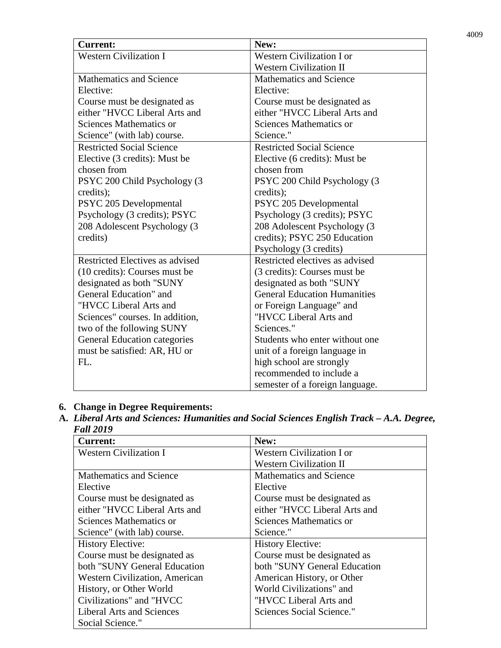| <b>Current:</b>                     | New:                                |
|-------------------------------------|-------------------------------------|
| Western Civilization $\overline{I}$ | <b>Western Civilization I or</b>    |
|                                     | <b>Western Civilization II</b>      |
| <b>Mathematics and Science</b>      | Mathematics and Science             |
| Elective:                           | Elective:                           |
| Course must be designated as        | Course must be designated as        |
| either "HVCC Liberal Arts and       | either "HVCC Liberal Arts and       |
| Sciences Mathematics or             | Sciences Mathematics or             |
| Science" (with lab) course.         | Science."                           |
| <b>Restricted Social Science</b>    | <b>Restricted Social Science</b>    |
| Elective (3 credits): Must be       | Elective (6 credits): Must be       |
| chosen from                         | chosen from                         |
| PSYC 200 Child Psychology (3        | PSYC 200 Child Psychology (3        |
| credits);                           | credits);                           |
| PSYC 205 Developmental              | PSYC 205 Developmental              |
| Psychology (3 credits); PSYC        | Psychology (3 credits); PSYC        |
| 208 Adolescent Psychology (3        | 208 Adolescent Psychology (3        |
| credits)                            | credits); PSYC 250 Education        |
|                                     | Psychology (3 credits)              |
| Restricted Electives as advised     | Restricted electives as advised     |
| (10 credits): Courses must be       | (3 credits): Courses must be        |
| designated as both "SUNY            | designated as both "SUNY            |
| General Education" and              | <b>General Education Humanities</b> |
| "HVCC Liberal Arts and              | or Foreign Language" and            |
| Sciences" courses. In addition,     | "HVCC Liberal Arts and              |
| two of the following SUNY           | Sciences."                          |
| <b>General Education categories</b> | Students who enter without one      |
| must be satisfied: AR, HU or        | unit of a foreign language in       |
| FL.                                 | high school are strongly            |
|                                     | recommended to include a            |
|                                     | semester of a foreign language.     |

# **6. Change in Degree Requirements:**

**A.** *Liberal Arts and Sciences: Humanities and Social Sciences English Track – A.A. Degree, Fall 2019*

| <b>Current:</b>                       | New:                             |
|---------------------------------------|----------------------------------|
| <b>Western Civilization I</b>         | <b>Western Civilization I or</b> |
|                                       | <b>Western Civilization II</b>   |
| <b>Mathematics and Science</b>        | <b>Mathematics and Science</b>   |
| Elective                              | Elective                         |
| Course must be designated as          | Course must be designated as     |
| either "HVCC Liberal Arts and         | either "HVCC Liberal Arts and    |
| Sciences Mathematics or               | Sciences Mathematics or          |
| Science" (with lab) course.           | Science."                        |
| <b>History Elective:</b>              | <b>History Elective:</b>         |
| Course must be designated as          | Course must be designated as     |
| both "SUNY General Education          | both "SUNY General Education     |
| <b>Western Civilization, American</b> | American History, or Other       |
| History, or Other World               | World Civilizations" and         |
| Civilizations" and "HVCC              | "HVCC Liberal Arts and           |
| <b>Liberal Arts and Sciences</b>      | Sciences Social Science."        |
| Social Science."                      |                                  |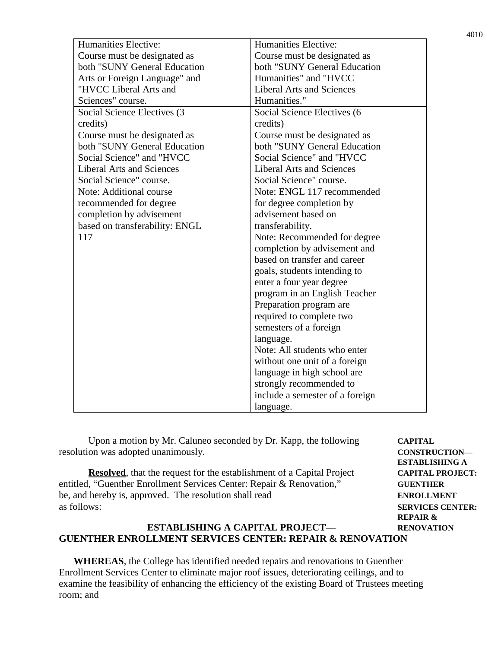| <b>Humanities Elective:</b>      | <b>Humanities Elective:</b>      |
|----------------------------------|----------------------------------|
| Course must be designated as     | Course must be designated as     |
| both "SUNY General Education"    | both "SUNY General Education     |
| Arts or Foreign Language" and    | Humanities" and "HVCC            |
| "HVCC Liberal Arts and           | <b>Liberal Arts and Sciences</b> |
| Sciences" course.                | Humanities."                     |
| Social Science Electives (3)     | Social Science Electives (6      |
| credits)                         | credits)                         |
| Course must be designated as     | Course must be designated as     |
| both "SUNY General Education     | both "SUNY General Education     |
| Social Science" and "HVCC        | Social Science" and "HVCC        |
| <b>Liberal Arts and Sciences</b> | <b>Liberal Arts and Sciences</b> |
| Social Science" course.          | Social Science" course.          |
| Note: Additional course          | Note: ENGL 117 recommended       |
| recommended for degree           | for degree completion by         |
| completion by advisement         | advisement based on              |
| based on transferability: ENGL   | transferability.                 |
| 117                              | Note: Recommended for degree     |
|                                  | completion by advisement and     |
|                                  | based on transfer and career     |
|                                  | goals, students intending to     |
|                                  | enter a four year degree         |
|                                  | program in an English Teacher    |
|                                  | Preparation program are          |
|                                  | required to complete two         |
|                                  | semesters of a foreign           |
|                                  | language.                        |
|                                  | Note: All students who enter     |
|                                  | without one unit of a foreign    |
|                                  | language in high school are      |
|                                  | strongly recommended to          |
|                                  | include a semester of a foreign  |
|                                  | language.                        |

Upon a motion by Mr. Caluneo seconded by Dr. Kapp, the following **CAPITAL** resolution was adopted unanimously. **CONSTRUCTION—**

**Resolved**, that the request for the establishment of a Capital Project **CAPITAL PROJECT:** entitled, "Guenther Enrollment Services Center: Repair & Renovation," **GUENTHER** be, and hereby is, approved. The resolution shall read **ENROLLMENT** as follows: **SERVICES CENTER:**

# **ESTABLISHING A REPAIR &**

### **ESTABLISHING A CAPITAL PROJECT— RENOVATION GUENTHER ENROLLMENT SERVICES CENTER: REPAIR & RENOVATION**

**WHEREAS**, the College has identified needed repairs and renovations to Guenther Enrollment Services Center to eliminate major roof issues, deteriorating ceilings, and to examine the feasibility of enhancing the efficiency of the existing Board of Trustees meeting room; and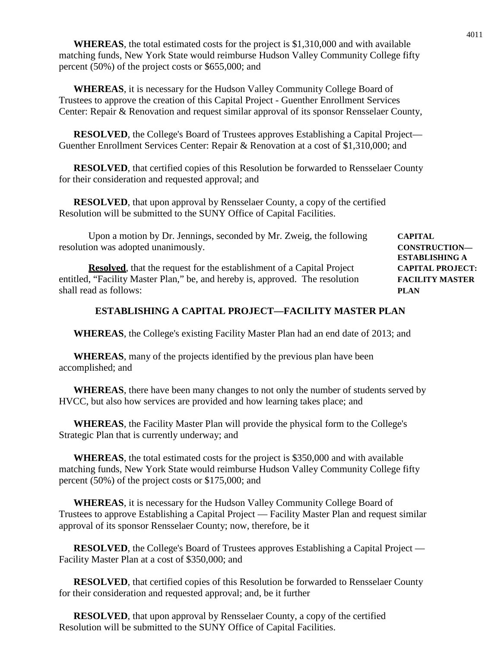**WHEREAS**, the total estimated costs for the project is \$1,310,000 and with available matching funds, New York State would reimburse Hudson Valley Community College fifty percent (50%) of the project costs or \$655,000; and

**WHEREAS**, it is necessary for the Hudson Valley Community College Board of Trustees to approve the creation of this Capital Project - Guenther Enrollment Services Center: Repair & Renovation and request similar approval of its sponsor Rensselaer County,

**RESOLVED**, the College's Board of Trustees approves Establishing a Capital Project— Guenther Enrollment Services Center: Repair & Renovation at a cost of \$1,310,000; and

**RESOLVED**, that certified copies of this Resolution be forwarded to Rensselaer County for their consideration and requested approval; and

**RESOLVED**, that upon approval by Rensselaer County, a copy of the certified Resolution will be submitted to the SUNY Office of Capital Facilities.

| Upon a motion by Dr. Jennings, seconded by Mr. Zweig, the following           | <b>CAPITAL</b>          |
|-------------------------------------------------------------------------------|-------------------------|
| resolution was adopted unanimously.                                           | <b>CONSTRUCTION-</b>    |
|                                                                               | <b>ESTABLISHING A</b>   |
| <b>Resolved</b> , that the request for the establishment of a Capital Project | <b>CAPITAL PROJECT:</b> |
| entitled, "Facility Master Plan," be, and hereby is, approved. The resolution | <b>FACILITY MASTER</b>  |
| shall read as follows:                                                        | <b>PLAN</b>             |

### **ESTABLISHING A CAPITAL PROJECT—FACILITY MASTER PLAN**

**WHEREAS**, the College's existing Facility Master Plan had an end date of 2013; and

**WHEREAS**, many of the projects identified by the previous plan have been accomplished; and

**WHEREAS**, there have been many changes to not only the number of students served by HVCC, but also how services are provided and how learning takes place; and

**WHEREAS**, the Facility Master Plan will provide the physical form to the College's Strategic Plan that is currently underway; and

**WHEREAS**, the total estimated costs for the project is \$350,000 and with available matching funds, New York State would reimburse Hudson Valley Community College fifty percent (50%) of the project costs or \$175,000; and

**WHEREAS**, it is necessary for the Hudson Valley Community College Board of Trustees to approve Establishing a Capital Project — Facility Master Plan and request similar approval of its sponsor Rensselaer County; now, therefore, be it

**RESOLVED**, the College's Board of Trustees approves Establishing a Capital Project — Facility Master Plan at a cost of \$350,000; and

**RESOLVED**, that certified copies of this Resolution be forwarded to Rensselaer County for their consideration and requested approval; and, be it further

**RESOLVED**, that upon approval by Rensselaer County, a copy of the certified Resolution will be submitted to the SUNY Office of Capital Facilities.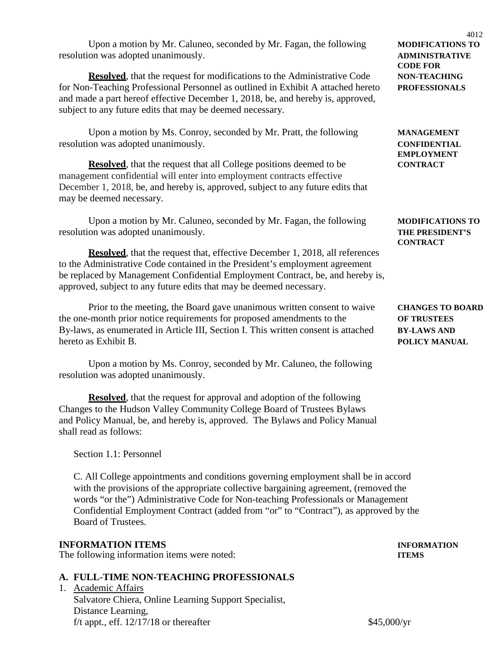**Resolved**, that the request that, effective December 1, 2018, all references to the Administrative Code contained in the President's employment agreement be replaced by Management Confidential Employment Contract, be, and hereby is, approved, subject to any future edits that may be deemed necessary.

Prior to the meeting, the Board gave unanimous written consent to waive **CHANGES TO BOARD** the one-month prior notice requirements for proposed amendments to the **OF TRUSTEES** By-laws, as enumerated in Article III, Section I. This written consent is attached **BY-LAWS AND** hereto as Exhibit B. **POLICY MANUAL**

Upon a motion by Ms. Conroy, seconded by Mr. Caluneo, the following resolution was adopted unanimously.

**Resolved**, that the request for approval and adoption of the following Changes to the Hudson Valley Community College Board of Trustees Bylaws and Policy Manual, be, and hereby is, approved. The Bylaws and Policy Manual shall read as follows:

Section 1.1: Personnel

C. All College appointments and conditions governing employment shall be in accord with the provisions of the appropriate collective bargaining agreement, (removed the words "or the") Administrative Code for Non-teaching Professionals or Management Confidential Employment Contract (added from "or" to "Contract"), as approved by the Board of Trustees.

# **INFORMATION ITEMS INFORMATION**

The following information items were noted: **ITEMS**

# **A. FULL-TIME NON-TEACHING PROFESSIONALS**

1. Academic Affairs Salvatore Chiera, Online Learning Support Specialist, Distance Learning, f/t appt., eff.  $12/17/18$  or thereafter \$45,000/yr

Upon a motion by Mr. Caluneo, seconded by Mr. Fagan, the following **MODIFICATIONS TO** resolution was adopted unanimously. **ADMINISTRATIVE**

**Resolved**, that the request for modifications to the Administrative Code **NON-TEACHING** for Non-Teaching Professional Personnel as outlined in Exhibit A attached hereto **PROFESSIONALS** and made a part hereof effective December 1, 2018, be, and hereby is, approved, subject to any future edits that may be deemed necessary.

Upon a motion by Ms. Conroy, seconded by Mr. Pratt, the following **MANAGEMENT** resolution was adopted unanimously. **CONFIDENTIAL**

**Resolved**, that the request that all College positions deemed to be **CONTRACT** management confidential will enter into employment contracts effective December 1, 2018, be, and hereby is, approved, subject to any future edits that may be deemed necessary.

Upon a motion by Mr. Caluneo, seconded by Mr. Fagan, the following **MODIFICATIONS TO** resolution was adopted unanimously. **THE PRESIDENT'S**

**CONTRACT**

4012 **CODE FOR** 

**EMPLOYMENT**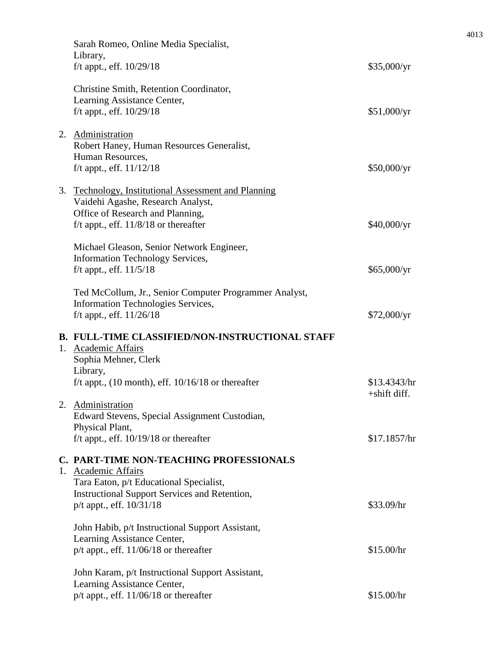| Sarah Romeo, Online Media Specialist,<br>Library,<br>f/t appt., eff. 10/29/18                                                                                            | \$35,000/yr                  |
|--------------------------------------------------------------------------------------------------------------------------------------------------------------------------|------------------------------|
| Christine Smith, Retention Coordinator,<br>Learning Assistance Center,<br>f/t appt., eff. 10/29/18                                                                       | \$51,000/yr                  |
| 2. Administration<br>Robert Haney, Human Resources Generalist,<br>Human Resources,<br>f/t appt., eff. $11/12/18$                                                         | \$50,000/yr                  |
| 3. Technology, Institutional Assessment and Planning<br>Vaidehi Agashe, Research Analyst,<br>Office of Research and Planning,<br>f/t appt., eff. $11/8/18$ or thereafter | \$40,000/yr                  |
| Michael Gleason, Senior Network Engineer,<br><b>Information Technology Services,</b>                                                                                     |                              |
| f/t appt., eff. 11/5/18                                                                                                                                                  | \$65,000/yr                  |
| Ted McCollum, Jr., Senior Computer Programmer Analyst,<br>Information Technologies Services,<br>f/t appt., eff. $11/26/18$                                               | \$72,000/yr                  |
| <b>B. FULL-TIME CLASSIFIED/NON-INSTRUCTIONAL STAFF</b><br>1. Academic Affairs<br>Sophia Mehner, Clerk<br>Library,                                                        |                              |
| f/t appt., $(10 \text{ month})$ , eff. $10/16/18$ or thereafter                                                                                                          | \$13.4343/hr<br>+shift diff. |
| 2. Administration<br>Edward Stevens, Special Assignment Custodian,<br>Physical Plant,<br>f/t appt., eff. $10/19/18$ or thereafter                                        | \$17.1857/hr                 |
| C. PART-TIME NON-TEACHING PROFESSIONALS<br>1. Academic Affairs<br>Tara Eaton, p/t Educational Specialist,                                                                |                              |
| <b>Instructional Support Services and Retention,</b><br>p/t appt., eff. 10/31/18                                                                                         | \$33.09/hr                   |
| John Habib, p/t Instructional Support Assistant,<br>Learning Assistance Center,<br>$p/t$ appt., eff. 11/06/18 or thereafter                                              | \$15.00/hr                   |
| John Karam, p/t Instructional Support Assistant,<br>Learning Assistance Center,                                                                                          |                              |
| $p/t$ appt., eff. 11/06/18 or thereafter                                                                                                                                 | \$15.00/hr                   |